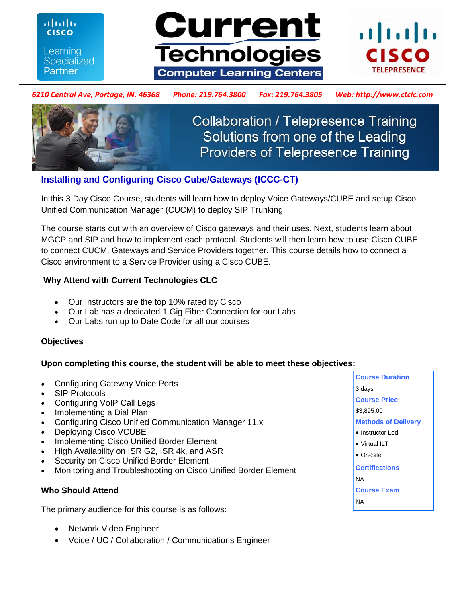**CISCO** Learning **Specialized** Partner

ahaha





### *6210 Central Ave, Portage, IN. 46368 Phone: 219.764.3800 Fax: 219.764.3805 Web: http://www.ctclc.com*



**Collaboration / Telepresence Training** Solutions from one of the Leading **Providers of Telepresence Training** 

# **Installing and Configuring Cisco Cube/Gateways (ICCC-CT)**

In this 3 Day Cisco Course, students will learn how to deploy Voice Gateways/CUBE and setup Cisco Unified Communication Manager (CUCM) to deploy SIP Trunking.

The course starts out with an overview of Cisco gateways and their uses. Next, students learn about MGCP and SIP and how to implement each protocol. Students will then learn how to use Cisco CUBE to connect CUCM, Gateways and Service Providers together. This course details how to connect a Cisco environment to a Service Provider using a Cisco CUBE.

# **Why Attend with Current Technologies CLC**

- Our Instructors are the top 10% rated by Cisco
- Our Lab has a dedicated 1 Gig Fiber Connection for our Labs
- Our Labs run up to Date Code for all our courses

# **Objectives**

# **Upon completing this course, the student will be able to meet these objectives:**

- Configuring Gateway Voice Ports
- SIP Protocols
- Configuring VoIP Call Legs
- Implementing a Dial Plan
- Configuring Cisco Unified Communication Manager 11.x
- Deploying Cisco VCUBE
- Implementing Cisco Unified Border Element
- High Availability on ISR G2, ISR 4k, and ASR
- Security on Cisco Unified Border Element
- Monitoring and Troubleshooting on Cisco Unified Border Element

# **Who Should Attend**

The primary audience for this course is as follows:

- Network Video Engineer
- Voice / UC / Collaboration / Communications Engineer

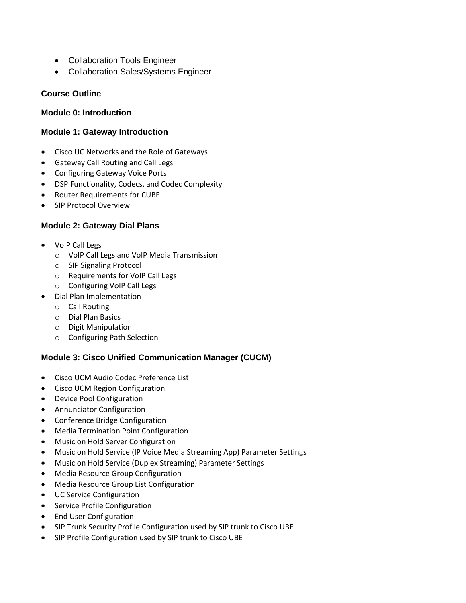- Collaboration Tools Engineer
- Collaboration Sales/Systems Engineer

# **Course Outline**

### **Module 0: Introduction**

# **Module 1: Gateway Introduction**

- Cisco UC Networks and the Role of Gateways
- Gateway Call Routing and Call Legs
- Configuring Gateway Voice Ports
- DSP Functionality, Codecs, and Codec Complexity
- Router Requirements for CUBE
- SIP Protocol Overview

# **Module 2: Gateway Dial Plans**

- VoIP Call Legs
	- o VoIP Call Legs and VoIP Media Transmission
	- o SIP Signaling Protocol
	- o Requirements for VoIP Call Legs
	- o Configuring VoIP Call Legs
- Dial Plan Implementation
	- o Call Routing
	- o Dial Plan Basics
	- o Digit Manipulation
	- o Configuring Path Selection

# **Module 3: Cisco Unified Communication Manager (CUCM)**

- Cisco UCM Audio Codec Preference List
- Cisco UCM Region Configuration
- Device Pool Configuration
- Annunciator Configuration
- Conference Bridge Configuration
- Media Termination Point Configuration
- Music on Hold Server Configuration
- Music on Hold Service (IP Voice Media Streaming App) Parameter Settings
- Music on Hold Service (Duplex Streaming) Parameter Settings
- Media Resource Group Configuration
- Media Resource Group List Configuration
- UC Service Configuration
- Service Profile Configuration
- End User Configuration
- SIP Trunk Security Profile Configuration used by SIP trunk to Cisco UBE
- SIP Profile Configuration used by SIP trunk to Cisco UBE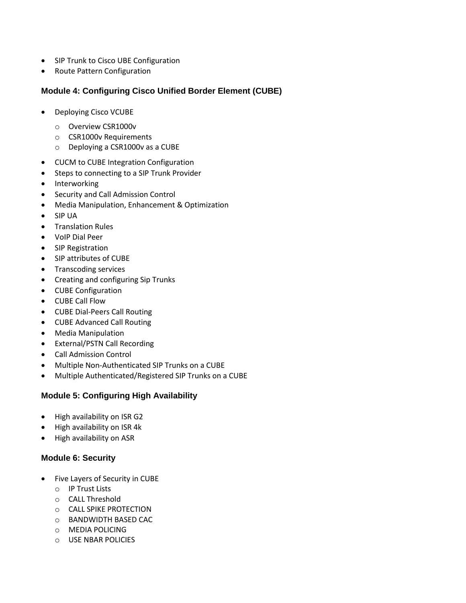- SIP Trunk to Cisco UBE Configuration
- Route Pattern Configuration

# **Module 4: Configuring Cisco Unified Border Element (CUBE)**

- Deploying Cisco VCUBE
	- o Overview CSR1000v
	- o CSR1000v Requirements
	- o Deploying a CSR1000v as a CUBE
- CUCM to CUBE Integration Configuration
- Steps to connecting to a SIP Trunk Provider
- Interworking
- Security and Call Admission Control
- Media Manipulation, Enhancement & Optimization
- SIP UA
- Translation Rules
- VoIP Dial Peer
- SIP Registration
- SIP attributes of CUBE
- Transcoding services
- Creating and configuring Sip Trunks
- CUBE Configuration
- CUBE Call Flow
- CUBE Dial-Peers Call Routing
- CUBE Advanced Call Routing
- Media Manipulation
- External/PSTN Call Recording
- Call Admission Control
- Multiple Non-Authenticated SIP Trunks on a CUBE
- Multiple Authenticated/Registered SIP Trunks on a CUBE

# **Module 5: Configuring High Availability**

- High availability on ISR G2
- High availability on ISR 4k
- High availability on ASR

# **Module 6: Security**

- Five Layers of Security in CUBE
	- o IP Trust Lists
	- o CALL Threshold
	- o CALL SPIKE PROTECTION
	- o BANDWIDTH BASED CAC
	- o MEDIA POLICING
	- o USE NBAR POLICIES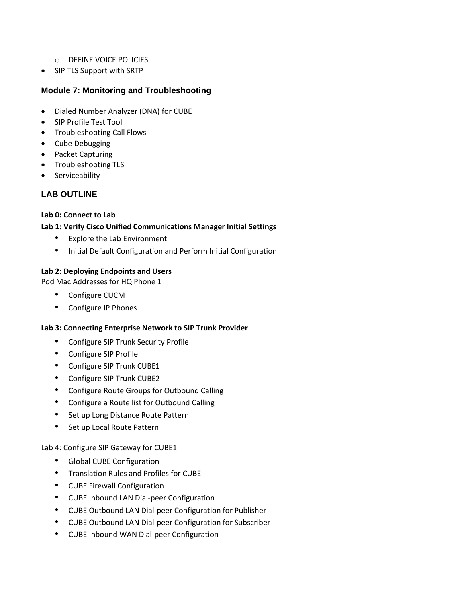- o DEFINE VOICE POLICIES
- SIP TLS Support with SRTP

# **Module 7: Monitoring and Troubleshooting**

- Dialed Number Analyzer (DNA) for CUBE
- SIP Profile Test Tool
- **•** Troubleshooting Call Flows
- Cube Debugging
- Packet Capturing
- Troubleshooting TLS
- Serviceability

# **LAB OUTLINE**

### **Lab 0: Connect to Lab**

### **Lab 1: Verify Cisco Unified Communications Manager Initial Settings**

- Explore the Lab Environment
- Initial Default Configuration and Perform Initial Configuration

### **Lab 2: Deploying Endpoints and Users**

Pod Mac Addresses for HQ Phone 1

- Configure CUCM
- Configure IP Phones

### **Lab 3: Connecting Enterprise Network to SIP Trunk Provider**

- Configure SIP Trunk Security Profile
- Configure SIP Profile
- Configure SIP Trunk CUBE1
- Configure SIP Trunk CUBE2
- Configure Route Groups for Outbound Calling
- Configure a Route list for Outbound Calling
- Set up Long Distance Route Pattern
- Set up Local Route Pattern

### Lab 4: Configure SIP Gateway for CUBE1

- Global CUBE Configuration
- Translation Rules and Profiles for CUBE
- CUBE Firewall Configuration
- CUBE Inbound LAN Dial-peer Configuration
- CUBE Outbound LAN Dial-peer Configuration for Publisher
- CUBE Outbound LAN Dial-peer Configuration for Subscriber
- CUBE Inbound WAN Dial-peer Configuration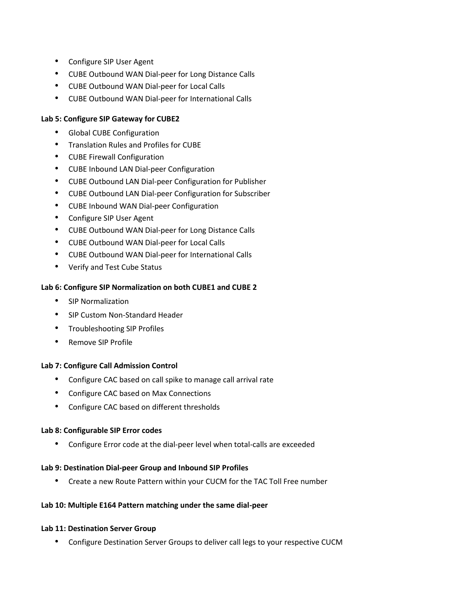- Configure SIP User Agent
- CUBE Outbound WAN Dial-peer for Long Distance Calls
- CUBE Outbound WAN Dial-peer for Local Calls
- CUBE Outbound WAN Dial-peer for International Calls

### **Lab 5: Configure SIP Gateway for CUBE2**

- Global CUBE Configuration
- Translation Rules and Profiles for CUBE
- CUBE Firewall Configuration
- CUBE Inbound LAN Dial-peer Configuration
- CUBE Outbound LAN Dial-peer Configuration for Publisher
- CUBE Outbound LAN Dial-peer Configuration for Subscriber
- CUBE Inbound WAN Dial-peer Configuration
- Configure SIP User Agent
- CUBE Outbound WAN Dial-peer for Long Distance Calls
- CUBE Outbound WAN Dial-peer for Local Calls
- CUBE Outbound WAN Dial-peer for International Calls
- Verify and Test Cube Status

### **Lab 6: Configure SIP Normalization on both CUBE1 and CUBE 2**

- SIP Normalization
- SIP Custom Non-Standard Header
- Troubleshooting SIP Profiles
- Remove SIP Profile

### **Lab 7: Configure Call Admission Control**

- Configure CAC based on call spike to manage call arrival rate
- Configure CAC based on Max Connections
- Configure CAC based on different thresholds

### **Lab 8: Configurable SIP Error codes**

• Configure Error code at the dial-peer level when total-calls are exceeded

### **Lab 9: Destination Dial-peer Group and Inbound SIP Profiles**

• Create a new Route Pattern within your CUCM for the TAC Toll Free number

### **Lab 10: Multiple E164 Pattern matching under the same dial-peer**

### **Lab 11: Destination Server Group**

• Configure Destination Server Groups to deliver call legs to your respective CUCM